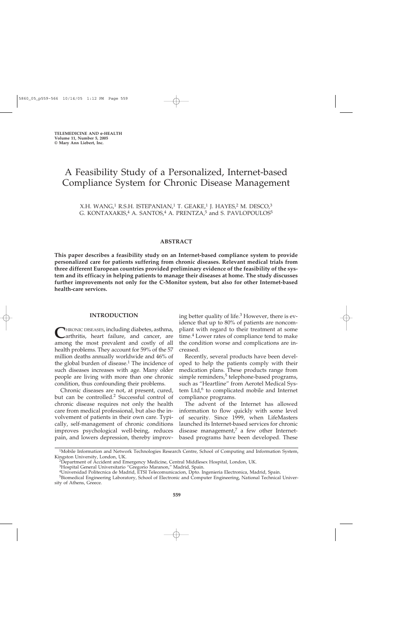# A Feasibility Study of a Personalized, Internet-based Compliance System for Chronic Disease Management

X.H. WANG,<sup>1</sup> R.S.H. ISTEPANIAN,<sup>1</sup> T. GEAKE,<sup>1</sup> J. HAYES,<sup>2</sup> M. DESCO,<sup>3</sup> G. KONTAXAKIS, $4$  A. SANTOS, $4$  A. PRENTZA, $5$  and S. PAVLOPOULOS $5$ 

## **ABSTRACT**

**This paper describes a feasibility study on an Internet-based compliance system to provide personalized care for patients suffering from chronic diseases. Relevant medical trials from three different European countries provided preliminary evidence of the feasibility of the system and its efficacy in helping patients to manage their diseases at home. The study discusses further improvements not only for the C-Monitor system, but also for other Internet-based health-care services.**

## **INTRODUCTION**

CHRONIC DISEASES, including diabetes, asthma, among the most prevalent and costly of all health problems. They account for 59% of the 57 million deaths annually worldwide and 46% of the global burden of disease. $<sup>1</sup>$  The incidence of</sup> such diseases increases with age. Many older people are living with more than one chronic condition, thus confounding their problems.

Chronic diseases are not, at present, cured, but can be controlled.<sup>2</sup> Successful control of chronic disease requires not only the health care from medical professional, but also the involvement of patients in their own care. Typically, self-management of chronic conditions improves psychological well-being, reduces pain, and lowers depression, thereby improving better quality of life.<sup>3</sup> However, there is evidence that up to 80% of patients are noncompliant with regard to their treatment at some time.<sup>4</sup> Lower rates of compliance tend to make the condition worse and complications are increased.

Recently, several products have been developed to help the patients comply with their medication plans. These products range from simple reminders,<sup>5</sup> telephone-based programs, such as "Heartline" from Aerotel Medical System Ltd,<sup>6</sup> to complicated mobile and Internet compliance programs.

The advent of the Internet has allowed information to flow quickly with some level of security. Since 1999, when LifeMasters launched its Internet-based services for chronic disease management, $^7$  a few other Internetbased programs have been developed. These

<sup>&</sup>lt;sup>1</sup>Mobile Information and Network Technologies Research Centre, School of Computing and Information System, Kingston University, London, UK.

<sup>&</sup>lt;sup>2</sup>Department of Accident and Emergency Medicine, Central Middlesex Hospital, London, UK.

<sup>3</sup>Hospital General Universitario "Gregorio Maranon," Madrid, Spain.

<sup>4</sup>Universidad Politecnica de Madrid, ETSI Telecomunicacion, Dpto. Ingenieria Electronica, Madrid, Spain.

<sup>5</sup>Biomedical Engineering Laboratory, School of Electronic and Computer Engineering, National Technical University of Athens, Greece.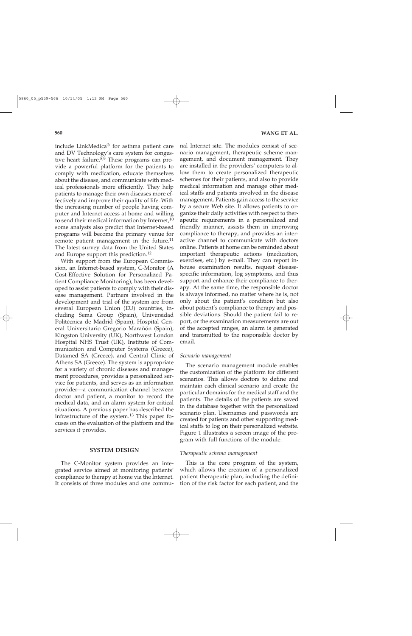include LinkMedica® for asthma patient care and DV Technology's care system for congestive heart failure.<sup>8,9</sup> These programs can provide a powerful platform for the patients to comply with medication, educate themselves about the disease, and communicate with medical professionals more efficiently. They help patients to manage their own diseases more effectively and improve their quality of life. With the increasing number of people having computer and Internet access at home and willing to send their medical information by Internet,<sup>10</sup> some analysts also predict that Internet-based programs will become the primary venue for remote patient management in the future.<sup>11</sup> The latest survey data from the United States

and Europe support this prediction.<sup>12</sup> With support from the European Commission, an Internet-based system, C-Monitor (A Cost-Effective Solution for Personalized Patient Compliance Monitoring), has been developed to assist patients to comply with their disease management. Partners involved in the development and trial of the system are from several European Union (EU) countries, including Sema Group (Spain), Universidad Politécnica de Madrid (Spain), Hospital General Universitario Gregorio Marañón (Spain), Kingston University (UK), Northwest London Hospital NHS Trust (UK), Institute of Communication and Computer Systems (Greece), Datamed SA (Greece), and Central Clinic of Athens SA (Greece). The system is appropriate for a variety of chronic diseases and management procedures, provides a personalized service for patients, and serves as an information provider—a communication channel between doctor and patient, a monitor to record the medical data, and an alarm system for critical situations. A previous paper has described the infrastructure of the system.<sup>13</sup> This paper focuses on the evaluation of the platform and the services it provides.

## **SYSTEM DESIGN**

The C-Monitor system provides an integrated service aimed at monitoring patients' compliance to therapy at home via the Internet. It consists of three modules and one commu-

nal Internet site. The modules consist of scenario management, therapeutic scheme management, and document management. They are installed in the providers' computers to allow them to create personalized therapeutic schemes for their patients, and also to provide medical information and manage other medical staffs and patients involved in the disease management. Patients gain access to the service by a secure Web site. It allows patients to organize their daily activities with respect to therapeutic requirements in a personalized and friendly manner, assists them in improving compliance to therapy, and provides an interactive channel to communicate with doctors online. Patients at home can be reminded about important therapeutic actions (medication, exercises, etc.) by e-mail. They can report inhouse examination results, request diseasespecific information, log symptoms, and thus support and enhance their compliance to therapy. At the same time, the responsible doctor is always informed, no matter where he is, not only about the patient's condition but also about patient's compliance to therapy and possible deviations. Should the patient fail to report, or the examination measurements are out of the accepted ranges, an alarm is generated and transmitted to the responsible doctor by email.

#### *Scenario management*

The scenario management module enables the customization of the platform for different scenarios. This allows doctors to define and maintain each clinical scenario and create the particular domains for the medical staff and the patients. The details of the patients are saved in the database together with the personalized scenario plan. Usernames and passwords are created for patients and other supporting medical staffs to log on their personalized website. Figure 1 illustrates a screen image of the program with full functions of the module.

#### *Therapeutic schema management*

This is the core program of the system, which allows the creation of a personalized patient therapeutic plan, including the definition of the risk factor for each patient, and the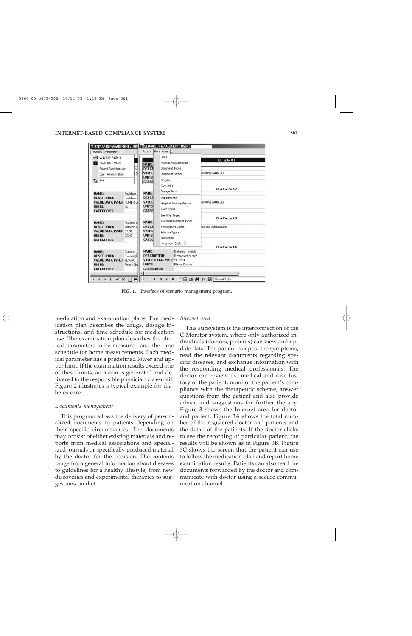

**FIG. 1.** Interface of scenario management program.

medication and examination plans. The medication plan describes the drugs, dosage instructions, and time schedule for medication use. The examination plan describes the clinical parameters to be measured and the time schedule for home measurements. Each medical parameter has a predefined lower and upper limit. If the examination results exceed one of these limits, an alarm is generated and delivered to the responsible physician via e-mail. Figure 2 illustrates a typical example for diabetes care.

#### *Documents management*

This program allows the delivery of personalized documents to patients depending on their specific circumstances. The documents may consist of either existing materials and reports from medical associations and specialized journals or specifically produced material by the doctor for the occasion. The contents range from general information about diseases to guidelines for a healthy lifestyle, from new discoveries and experimental therapies to suggestions on diet.

#### *Internet area*

This subsystem is the interconnection of the C-Monitor system, where only authorized individuals (doctors, patients) can view and update data. The patient can post the symptoms, read the relevant documents regarding specific diseases, and exchange information with the responding medical professionals. The doctor can review the medical and case history of the patient, monitor the patient's compliance with the therapeutic scheme, answer questions from the patient and also provide advice and suggestions for further therapy. Figure 3 shows the Internet area for doctor and patient. Figure 3A shows the total number of the registered doctor and patients and the detail of the patients. If the doctor clicks to see the recording of particular patient, the results will be shown as in Figure 3B. Figure 3C shows the screen that the patient can use to follow the medication plan and report home examination results. Patients can also read the documents forwarded by the doctor and communicate with doctor using a secure communication channel.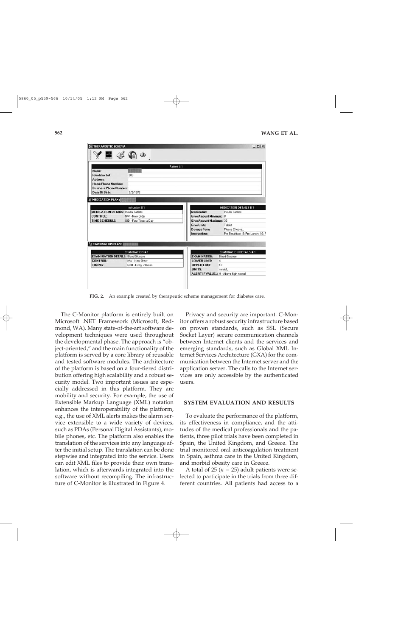|                                            |                        | Patient #1                            |                                    |
|--------------------------------------------|------------------------|---------------------------------------|------------------------------------|
| Name:                                      |                        |                                       |                                    |
| <b>Identifier List</b><br><b>Address:</b>  | 203                    |                                       |                                    |
| <b>Home Phone Numbers:</b>                 |                        |                                       |                                    |
| <b>Business Phone Numbers:</b>             |                        |                                       |                                    |
| Date Of Birth:                             | 3/2/1972               |                                       |                                    |
|                                            |                        |                                       |                                    |
| <b>28 MEDICATION PLAN:</b>                 |                        |                                       |                                    |
|                                            | Instruction #1         |                                       | <b>MEDICATION DETAILS #1</b>       |
| <b>MEDICATION DETAILS: Insulin Tablets</b> |                        | Medication                            | Insulin Tablets                    |
| <b>CONTROL:</b>                            | NW - New Order         | <b>Give Amount Minimum: 8</b>         |                                    |
| TIME SCHEDULE:                             | QID - Four Times a Day | <b>Give Amount Maximum: 32</b>        |                                    |
|                                            |                        | <b>Give Units:</b>                    | Tablet                             |
|                                            |                        | Dosage Form:                          | Please Choose.                     |
|                                            |                        | Instructions:                         | Pre Breakfast: 8: Pre Lunch: 10: F |
|                                            |                        |                                       |                                    |
| <b>EXAMINATION PLAN:</b>                   |                        |                                       |                                    |
|                                            | EXAMINATION #1         |                                       | EXAMINATION DETAILS #1             |
| <b>EXAMINATION DETAILS: Blood Glucose</b>  |                        | <b>EXAMINATION:</b>                   | <b>Blood Glucose</b>               |
| CONTROL:                                   | NW - New Order         | $\overline{4}$<br>LOWER LIMIT:        |                                    |
| TIMING:                                    | Q2H - Every 2 Hours    | 12<br><b>UPPER LIMIT:</b>             |                                    |
|                                            |                        | UNITS:                                | mmol/L                             |
|                                            |                        | ALERT IF VALUE: H - Above high normal |                                    |

**FIG. 2.** An example created by therapeutic scheme management for diabetes care.

The C-Monitor platform is entirely built on Microsoft .NET Framework (Microsoft, Redmond, WA). Many state-of-the-art software development techniques were used throughout the developmental phase. The approach is "object-oriented," and the main functionality of the platform is served by a core library of reusable and tested software modules. The architecture of the platform is based on a four-tiered distribution offering high scalability and a robust security model. Two important issues are especially addressed in this platform. They are mobility and security. For example, the use of Extensible Markup Language (XML) notation enhances the interoperability of the platform, e.g., the use of XML alerts makes the alarm service extensible to a wide variety of devices, such as PDAs (Personal Digital Assistants), mobile phones, etc. The platform also enables the translation of the services into any language after the initial setup. The translation can be done stepwise and integrated into the service. Users can edit XML files to provide their own translation, which is afterwards integrated into the software without recompiling. The infrastructure of C-Monitor is illustrated in Figure 4.

Privacy and security are important. C-Monitor offers a robust security infrastructure based on proven standards, such as SSL (Secure Socket Layer) secure communication channels between Internet clients and the services and emerging standards, such as Global XML Internet Services Architecture (GXA) for the communication between the Internet server and the application server. The calls to the Internet services are only accessible by the authenticated users.

#### **SYSTEM EVALUATION AND RESULTS**

To evaluate the performance of the platform, its effectiveness in compliance, and the attitudes of the medical professionals and the patients, three pilot trials have been completed in Spain, the United Kingdom, and Greece. The trial monitored oral anticoagulation treatment in Spain, asthma care in the United Kingdom, and morbid obesity care in Greece.

A total of 25 ( $n = 25$ ) adult patients were selected to participate in the trials from three different countries. All patients had access to a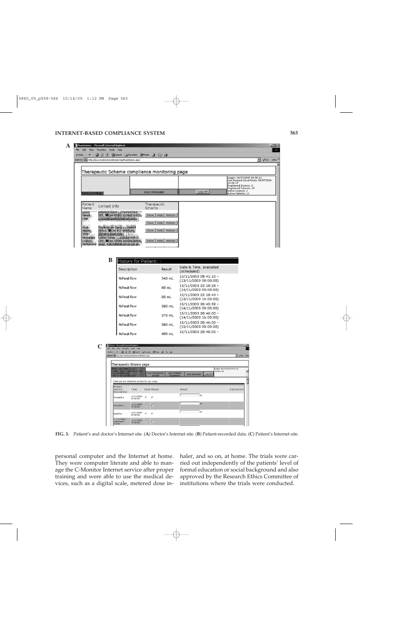

**FIG. 3.** Patient's and doctor's Internet site. (**A**) Doctor's Internet site. (**B**) Patient-recorded data. (**C**) Patient's Internet site.

personal computer and the Internet at home. They were computer literate and able to manage the C-Monitor Internet service after proper training and were able to use the medical devices, such as a digital scale, metered dose inhaler, and so on, at home. The trials were carried out independently of the patients' level of formal education or social background and also approved by the Research Ethics Committee of institutions where the trials were conducted.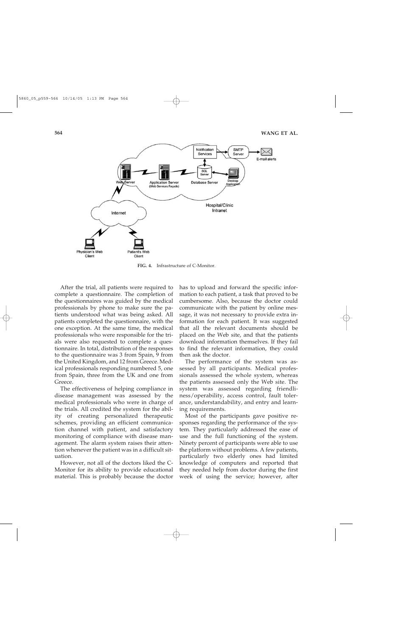

**FIG. 4.** Infrastructure of C-Monitor.

After the trial, all patients were required to complete a questionnaire. The completion of the questionnaires was guided by the medical professionals by phone to make sure the patients understood what was being asked. All patients completed the questionnaire, with the one exception. At the same time, the medical professionals who were responsible for the trials were also requested to complete a questionnaire. In total, distribution of the responses to the questionnaire was 3 from Spain, 9 from the United Kingdom, and 12 from Greece. Medical professionals responding numbered 5, one from Spain, three from the UK and one from Greece.

The effectiveness of helping compliance in disease management was assessed by the medical professionals who were in charge of the trials. All credited the system for the ability of creating personalized therapeutic schemes, providing an efficient communication channel with patient, and satisfactory monitoring of compliance with disease management. The alarm system raises their attention whenever the patient was in a difficult situation.

However, not all of the doctors liked the C-Monitor for its ability to provide educational material. This is probably because the doctor has to upload and forward the specific information to each patient, a task that proved to be cumbersome. Also, because the doctor could communicate with the patient by online message, it was not necessary to provide extra information for each patient. It was suggested that all the relevant documents should be placed on the Web site, and that the patients download information themselves. If they fail to find the relevant information, they could then ask the doctor.

The performance of the system was assessed by all participants. Medical professionals assessed the whole system, whereas the patients assessed only the Web site. The system was assessed regarding friendliness/operability, access control, fault tolerance, understandability, and entry and learning requirements.

Most of the participants gave positive responses regarding the performance of the system. They particularly addressed the ease of use and the full functioning of the system. Ninety percent of participants were able to use the platform without problems. A few patients, particularly two elderly ones had limited knowledge of computers and reported that they needed help from doctor during the first week of using the service; however, after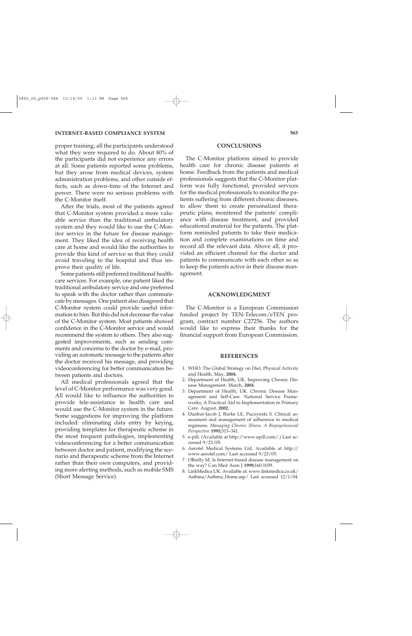proper training, all the participants understood what they were required to do. About 80% of the participants did not experience any errors at all. Some patients reported some problems, but they arose from medical devices, system administration problems, and other outside effects, such as down-time of the Internet and power. There were no serious problems with the C-Monitor itself.

After the trials, most of the patients agreed that C-Monitor system provided a more valuable service than the traditional ambulatory system and they would like to use the C-Monitor service in the future for disease management. They liked the idea of receiving health care at home and would like the authorities to provide this kind of service so that they could avoid traveling to the hospital and thus improve their quality of life.

Some patients still preferred traditional healthcare services. For example, one patient liked the traditional ambulatory service and one preferred to speak with the doctor rather than communicate by messages. One patient also disagreed that C-Monitor system could provide useful information to him. But this did not decrease the value of the C-Monitor system. Most patients showed confidence in the C-Monitor service and would recommend the system to others. They also suggested improvements, such as sending comments and concerns to the doctor by e-mail, providing an automatic message to the patients after the doctor received his message, and providing videoconferencing for better communication between patients and doctors.

All medical professionals agreed that the level of C-Monitor performance was very good. All would like to influence the authorities to provide tele-assistance in health care and would use the C-Monitor system in the future. Some suggestions for improving the platform included: eliminating data entry by keying, providing templates for therapeutic scheme in the most frequent pathologies, implementing videoconferencing for a better communication between doctor and patient, modifying the scenario and therapeutic scheme from the Internet rather than their own computers, and providing more alerting methods, such as mobile SMS (Short Message Service).

### **CONCLUSIONS**

The C-Monitor platform aimed to provide health care for chronic disease patients at home. Feedback from the patients and medical professionals suggests that the C-Monitor platform was fully functional, provided services for the medical professionals to monitor the patients suffering from different chronic diseases, to allow them to create personalized therapeutic plans, monitored the patients' compliance with disease treatment, and provided educational material for the patients. The platform reminded patients to take their medication and complete examinations on time and record all the relevant data. Above all, it provided an efficient channel for the doctor and patients to communicate with each other so as to keep the patients active in their disease management.

## **ACKNOWLEDGMENT**

The C-Monitor is a European Commission funded project by TEN-Telecom/eTEN program, contract number C27256. The authors would like to express their thanks for the financial support from European Commission.

### **REFERENCES**

- 1. WHO. The Global Strategy on Diet, Physical Activity and Health. May, **2004.**
- 2. Department of Health, UK. Improving Chronic Disease Management. March, **2004.**
- 3. Department of Health, UK. Chronic Disease Management and Self-Care. National Service Frameworks, A Practical Aid to Implementation in Primary Care. August, **2002.**
- 4. Dunbar-Jacob J, Burke LE, Puczynski S. Clinical assessment and management of adherence to medical regimens. *Managing Chronic Illness. A Biopsychosocial Perspective* **1995;**313–341.
- 5. e-pill. (Available at http://www.epill.com/.) Last accessed 9/23/05.
- 6. Aerotel Medical Systems Ltd. Available at http:// www.aerotel.com/ Last accessed 9/23/05.
- 7. OReilly M. Is Internet-based disease management on the way? Can Med Assn J **1999;**160:1039.
- 8. LinkMedica UK. Available at: www.linkmedica.co.uk/ Asthma/Asthma\_Home.asp/ Last accessed 12/1/04.